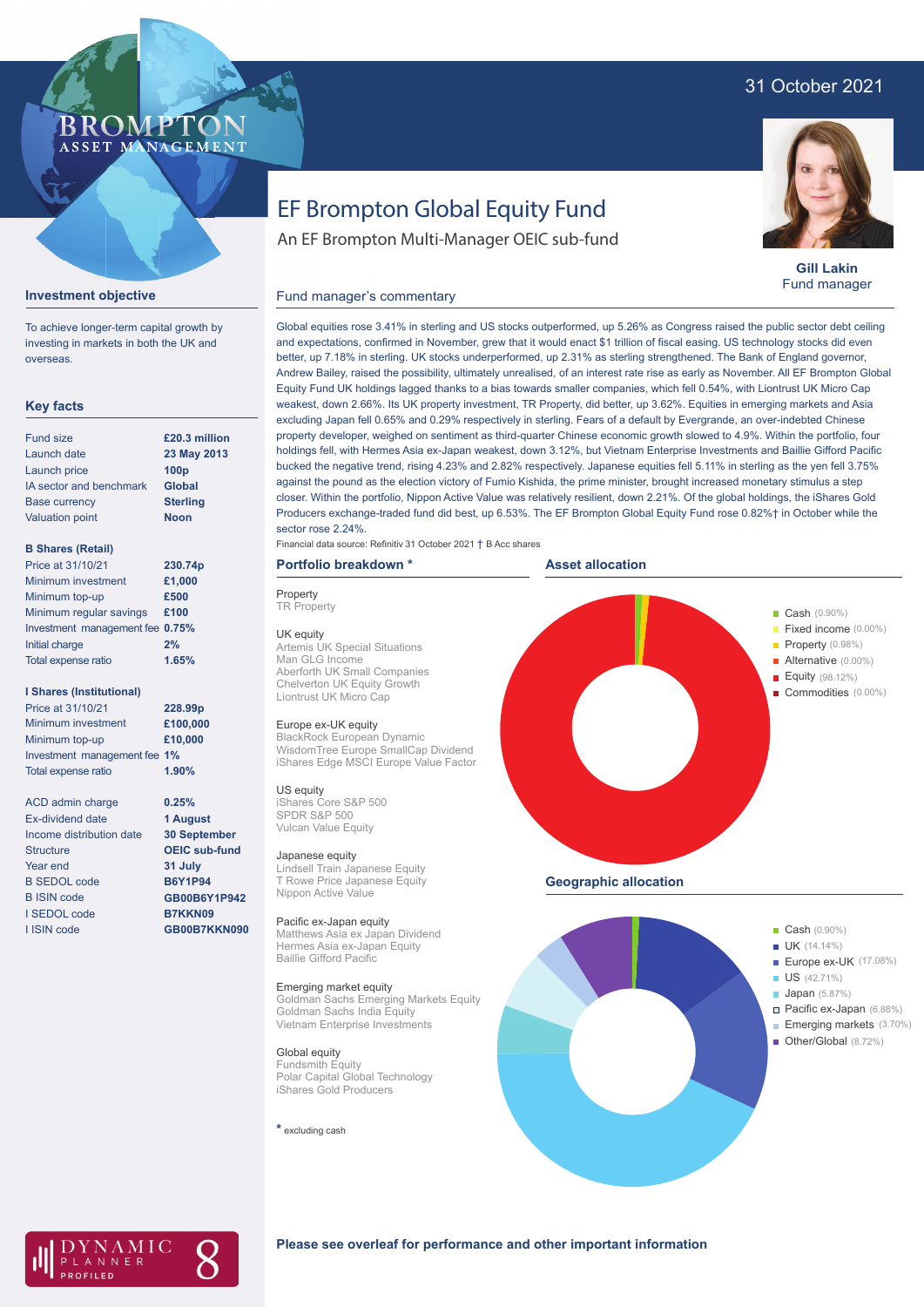# 31 October 2021

#### **BROMP** ASSET MA **NAGEMENT**

# EF Brompton Global Equity Fund

An EF Brompton Multi-Manager OEIC sub-fund



**Gill Lakin** Fund manager

## Fund manager's commentary



**Investment objective**

investing in markets in both the UK and overseas.

# **Key facts**

| Fund size               | £20.3 million    |
|-------------------------|------------------|
| Launch date             | 23 May 2013      |
| Launch price            | 100 <sub>p</sub> |
| IA sector and benchmark | <b>Global</b>    |
| <b>Base currency</b>    | <b>Sterling</b>  |
| <b>Valuation point</b>  | <b>Noon</b>      |
|                         |                  |

# **B Shares (Retail)**

| Price at 31/10/21               | 230.74p |
|---------------------------------|---------|
| Minimum investment              | £1,000  |
| Minimum top-up                  | £500    |
| Minimum regular savings         | £100    |
| Investment management fee 0.75% |         |
| Initial charge                  | 2%      |
| Total expense ratio             | 1.65%   |
|                                 |         |

### **I Shares (Institutional)**

| Price at 31/10/21            | 228.99 <sub>p</sub> |
|------------------------------|---------------------|
| Minimum investment           | £100,000            |
| Minimum top-up               | £10,000             |
| Investment management fee 1% |                     |
| <b>Total expense ratio</b>   | 1.90%               |

ACD admin charge Ex-dividend date Income distribution date Structure Year end B SEDOL code B ISIN code I SEDOL code I ISIN code

**0.25% 1 August 30 September OEIC sub-fund 31 July B6Y1P94 GB00B6Y1P942 B7KKN09 GB00B7KKN090**

Global equities rose 3.41% in sterling and US stocks outperformed, up 5.26% as Congress raised the public sector debt ceiling and expectations, confirmed in November, grew that it would enact \$1 trillion of fiscal easing. US technology stocks did even better, up 7.18% in sterling. UK stocks underperformed, up 2.31% as sterling strengthened. The Bank of England governor, Andrew Bailey, raised the possibility, ultimately unrealised, of an interest rate rise as early as November. All EF Brompton Global Equity Fund UK holdings lagged thanks to a bias towards smaller companies, which fell 0.54%, with Liontrust UK Micro Cap weakest, down 2.66%. Its UK property investment, TR Property, did better, up 3.62%. Equities in emerging markets and Asia excluding Japan fell 0.65% and 0.29% respectively in sterling. Fears of a default by Evergrande, an over-indebted Chinese property developer, weighed on sentiment as third-quarter Chinese economic growth slowed to 4.9%. Within the portfolio, four holdings fell, with Hermes Asia ex-Japan weakest, down 3.12%, but Vietnam Enterprise Investments and Baillie Gifford Pacific bucked the negative trend, rising 4.23% and 2.82% respectively. Japanese equities fell 5.11% in sterling as the yen fell 3.75% against the pound as the election victory of Fumio Kishida, the prime minister, brought increased monetary stimulus a step closer. Within the portfolio, Nippon Active Value was relatively resilient, down 2.21%. Of the global holdings, the iShares Gold Producers exchange-traded fund did best, up 6.53%. The EF Brompton Global Equity Fund rose 0.82%† in October while the sector rose 2.24%.

## Financial data source: Refinitiv 31 October 2021 † B Acc shares

### **Asset allocation**





AMIC NNER

# **Please see overleaf for performance and other important information**

# BlackRock European Dynamic WisdomTree Europe SmallCap Dividend iShares Edge MSCI Europe Value Factor

US equity iShares Core S&P 500 SPDR S&P 500 Vulcan Value Equity

#### Japanese equity

**Property TR Property** 

Lindsell Train Japanese Equity T Rowe Price Japanese Equity Nippon Active Value

UK equity Artemis UK Special Situations

**Portfolio breakdown \***

Aberforth UK Small Companies Chelverton UK Equity Growth Liontrust UK Micro Cap Europe ex-UK equity

Man GLG Income

#### Pacific ex-Japan equity

Matthews Asia ex Japan Dividend Hermes Asia ex-Japan Equity Baillie Gifford Pacific

#### Emerging market equity

Goldman Sachs Emerging Markets Equity Goldman Sachs India Equity Vietnam Enterprise Investments

### Global equity

Fundsmith Equity Polar Capital Global Technology iShares Gold Producers

**\*** excluding cash